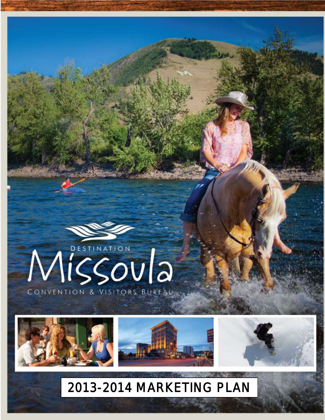

# 2013-2014 MARKETING PLAN

0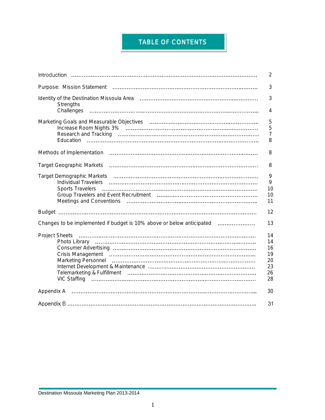## TABLE OF CONTENTS

|                                                                       | $\overline{2}$                               |
|-----------------------------------------------------------------------|----------------------------------------------|
|                                                                       | 3                                            |
| Strengths                                                             | 3                                            |
| Challenges                                                            | 4                                            |
|                                                                       | 5<br>5<br>$\overline{7}$<br>8                |
|                                                                       | 8                                            |
|                                                                       | 8                                            |
| Sports Travelers                                                      | 9<br>9<br>10<br>10<br>11                     |
|                                                                       | 12                                           |
| Changes to be implemented if budget is 10% above or below anticipated | 13                                           |
|                                                                       | 14<br>14<br>16<br>19<br>20<br>23<br>26<br>28 |
|                                                                       | 30                                           |
|                                                                       | 31                                           |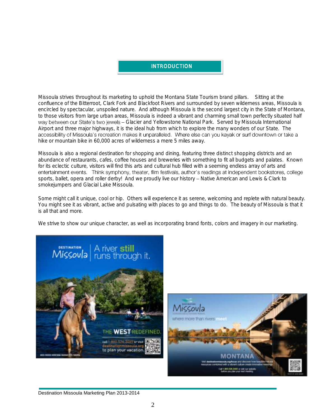#### INTRODUCTION

Missoula strives throughout its marketing to uphold the Montana State Tourism brand pillars. Sitting at the confluence of the Bitterroot, Clark Fork and Blackfoot Rivers and surrounded by seven wilderness areas, Missoula is encircled by spectacular, unspoiled nature. And although Missoula is the second largest city in the State of Montana, to those visitors from large urban areas, Missoula is indeed a vibrant and charming small town perfectly situated half way between our State's two jewels - Glacier and Yellowstone National Park. Served by Missoula International Airport and three major highways, it is the ideal hub from which to explore the many wonders of our State. The<br>accessibility of Missoula's recreation makes it unparalleled. Where else can you kayak or surf downtown or take hike or mountain bike in 60,000 acres of wilderness a mere 5 miles away.

Missoula is also a regional destination for shopping and dining, featuring three distinct shopping districts and an abundance of restaurants, cafes, coffee houses and breweries with something to fit all budgets and palates. Known for its eclectic culture, visitors will find this arts and cultural hub filled with a seeming endless array of arts and<br>entertainment events. Think symphony, theater, film festivals, author's readings at independent bookst sports, ballet, opera and roller derby! And we proudly live our history - Native American and Lewis & Clark to smokejumpers and Glacial Lake Missoula.

Some might call it unique, cool or hip. Others will experience it as serene, welcoming and replete with natural beauty. You might see it as vibrant, active and pulsating with places to go and things to do. The beauty of Missoula is that it is all that and more.

We strive to show our unique character, as well as incorporating brand fonts, colors and imagery in our marketing.



#### Destination Missoula Marketing Plan 2013-2014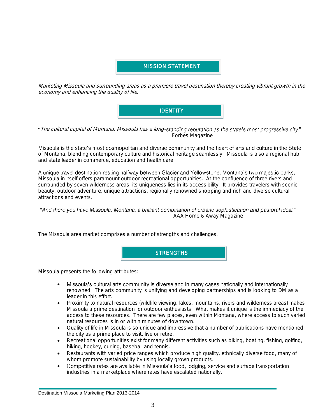#### MISSION STATEMENT l

Marketing Missoula and surrounding areas as a premiere travel destination thereby creating vibrant growth in the economy and enhancing the quality of life.



"The cultural capital of Montana, Missoula has a long-standing reputation as the state's most progressive city." Forbes Magazine

Missoula is the state's most cosmopolitan and diverse community and the heart of arts and culture in the State of Montana, blending contemporary culture and historical heritage seamlessly. Missoula is also a regional hub and state leader in commerce, education and health care.

A unique travel destination resting halfway between Glacier and Yellowstone, Montana's two majestic parks, Missoula in itself offers paramount outdoor recreational opportunities. At the confluence of three rivers and surrounded by seven wilderness areas, its uniqueness lies in its accessibility. It provides travelers with scenic beauty, outdoor adventure, unique attractions, regionally renowned shopping and rich and diverse cultural attractions and events.

#### "And there you have Missoula, Montana, a brilliant combination of urbane sophistication and pastoral ideal." AAA Home & Away Magazine

The Missoula area market comprises a number of strengths and challenges.



Missoula presents the following attributes:

- Missoula's cultural arts community is diverse and in many cases nationally and internationally  $\bullet$ renowned. The arts community is unifying and developing partnerships and is looking to DM as a leader in this effort.
- Proximity to natural resources (wildlife viewing, lakes, mountains, rivers and wilderness areas) makes Missoula a prime destination for outdoor enthusiasts. What makes it unique is the immediacy of the access to these resources. There are few places, even within Montana, where access to such varied natural resources is in or within minutes of downtown.
- Quality of life in Missoula is so unique and impressive that a number of publications have mentioned the city as a prime place to visit, live or retire.
- Recreational opportunities exist for many different activities such as biking, boating, fishing, golfing, hiking, hockey, curling, baseball and tennis.
- Restaurants with varied price ranges which produce high quality, ethnically diverse food, many of
- whom promote sustainability by using locally grown products.<br>Competitive rates are available in Missoula's food, lodging, service and surface transportation  $\bullet$ industries in a marketplace where rates have escalated nationally.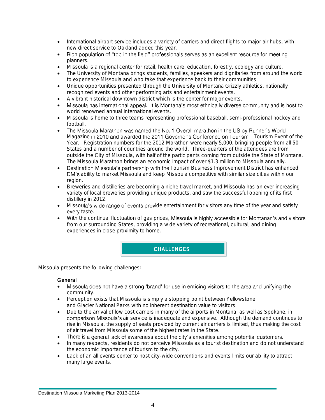- International airport service includes a variety of carriers and direct flights to major air hubs, with
- new direct service to Oakland added this year.<br>Rich population of "top in the field" professionals serves as an excellent resource for meeting  $\bullet$ planners.
- Missoula is a regional center for retail, health care, education, forestry, ecology and culture.
- The University of Montana brings students, families, speakers and dignitaries from around the world to experience Missoula and who take that experience back to their communities.
- Unique opportunities presented through the University of Montana Grizzly athletics, nationally recognized events and other performing arts and entertainment events.
- 
- A vibrant historical downtown district which is the center for major events.<br>• Missoula has international appeal. It is Montana's most ethnically diverse community and is host to  $\bullet$ world renowned annual international events.
- Missoula is home to three teams representing professional baseball, semi-professional hockey and football.
- $\bullet$ The Missoula Marathon was named the No. 1 Overall marathon in the US by Runner's World Magazine in 2010 and awarded the 2011 Governor's Conference on Tourism - Tourism Event of the Year. Registration numbers for the 2012 Marathon were nearly 5,000, bringing people from all 50 States and a number of countries around the world. Three-quarters of the attendees are from outside the City of Missoula, with half of the participants coming from outside the State of Montana. The Missoula Marathon brings an economic impact of over \$1.3 million to Missoula annually.
- Destination Missoula's partnership with the Tourism Business Improvement District has enhanced DM's ability to market Missoula and keep Missoula competitive with similar size cities within our region.
- Breweries and distilleries are becoming a niche travel market, and Missoula has an ever increasing variety of local breweries providing unique products, and saw the successful opening of its first distillery in 2012.
- Missoula's wide range of events provide entertainment for visitors any time of the year and satisfy every taste.
- With the continual fluctuation of gas prices, Missoula is highly accessible for Montanan's and visitors from our surrounding States, providing a wide variety of recreational, cultural, and dining experiences in close proximity to home.



Missoula presents the following challenges:

#### **General**

- Missoula does not have a strong 'brand' for use in enticing visitors to the area and unifying the community.
- Perception exists that Missoula is simply a stopping point between Yellowstone and Glacier National Parks with no inherent destination value to visitors.
- Due to the arrival of low cost carriers in many of the airports in Montana, as well as Spokane, in comparison Missoula's air service is inadequate and expensive. Although the demand continues to rise in Missoula, the supply of seats provided by current air carriers is limited, thus making the cost of air travel from Missoula some of the highest rates in the State.
- There is a general lack of awareness about the city's amenities among potential customers.
- In many respects, residents do not perceive Missoula as a tourist destination and do not understand the economic importance of tourism to the city.
- Lack of an all events center to host city-wide conventions and events limits our ability to attract many large events.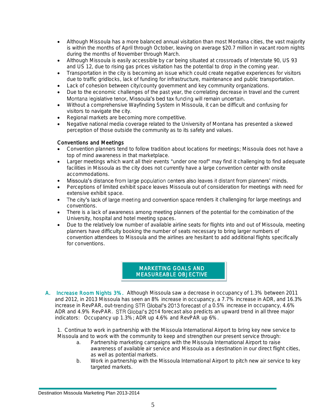- Although Missoula has a more balanced annual visitation than most Montana cities, the vast majority is within the months of April through October, leaving on average \$20.7 million in vacant room nights during the months of November through March.
- Although Missoula is easily accessible by car being situated at crossroads of Interstate 90, US 93 and US 12, due to rising gas prices visitation has the potential to drop in the coming year.
- Transportation in the city is becoming an issue which could create negative experiences for visitors due to traffic gridlocks, lack of funding for infrastructure, maintenance and public transportation.
- Lack of cohesion between city/county government and key community organizations.
- Due to the economic challenges of the past year, the correlating decrease in travel and the current<br>Montana legislative tenor, Missoula's bed tax funding will remain uncertain.
- Without a comprehensive Wayfinding System in Missoula, it can be difficult and confusing for visitors to navigate the city.
- Regional markets are becoming more competitive.
- Negative national media coverage related to the University of Montana has presented a skewed perception of those outside the community as to its safety and values.

#### Conventions and Meetings

- Convention planners tend to follow tradition about locations for meetings; Missoula does not have a top of mind awareness in that marketplace.
- Larger meetings which want all their events "under one roof" may find it challenging to find adequate facilities in Missoula as the city does not currently have a large convention center with onsite accommodations.
- Missoula's distance from large population centers also leaves it distant from planners' minds.
- Perceptions of limited exhibit space leaves Missoula out of consideration for meetings with need for extensive exhibit space.
- The city's lack of large meeting and convention space renders it challenging for large meetings and conventions.
- There is a lack of awareness among meeting planners of the potential for the combination of the University, hospital and hotel meeting spaces.
- Due to the relatively low number of available airline seats for flights into and out of Missoula, meeting planners have difficulty booking the number of seats necessary to bring larger numbers of convention attendees to Missoula and the airlines are hesitant to add additional flights specifically for conventions.

#### MARKETING GOALS AND MEASUREABLE OBJECTIVE Ī

A. Increase Room Nights 3%. Although Missoula saw a decrease in occupancy of 1.3% between 2011 and 2012, in 2013 Missoula has seen an 8% increase in occupancy, a 7.7% increase in ADR, and 16.3% increase in RevPAR, out-trending STR Global's 2013 forecast of a 0.5% increase in occupancy, 4.6% ADR and 4.9% RevPAR. STR Global's 2014 forecast also predicts an upward trend in all three major indicators: Occupancy up 1.3%; ADR up 4.6% and RevPAR up 6%.

1. Continue to work in partnership with the Missoula International Airport to bring key new service to Missoula and to work with the community to keep and strengthen our present service through:

- a. Partnership marketing campaigns with the Missoula International Airport to raise awareness of available air service and Missoula as a destination in our direct flight cities, as well as potential markets.
- b. Work in partnership with the Missoula International Airport to pitch new air service to key targeted markets.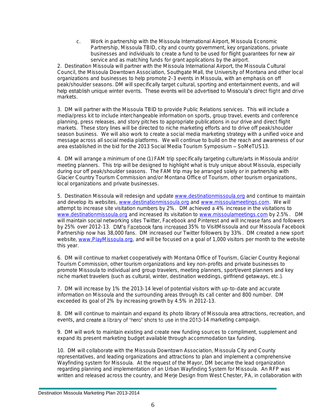c. Work in partnership with the Missoula International Airport, Missoula Economic Partnership, Missoula TBID, city and county government, key organizations, private businesses and individuals to create a fund to be used for flight guarantees for new air service and as matching funds for grant applications by the airport.

2. Destination Missoula will partner with the Missoula International Airport, the Missoula Cultural Council, the Missoula Downtown Association, Southgate Mall, the University of Montana and other local organizations and businesses to help promote 2-3 events in Missoula, with an emphasis on off peak/shoulder seasons. DM will specifically target cultural, sporting and entertainment events, and will help establish unique winter events. These events will be advertised to Missoula's direct flight and drive markets.

3. DM will partner with the Missoula TBID to provide Public Relations services. This will include a media/press kit to include interchangeable information on sports, group travel, events and conference planning, press releases, and story pitches to appropriate publications in our drive and direct flight markets. These story lines will be directed to niche marketing efforts and to drive off peak/shoulder season business. We will also work to create a social media marketing strategy with a unified voice and message across all social media platforms. We will continue to build on the reach and awareness of our area established in the bid for the 2013 Social Media Tourism Symposium - SoMeTUS13.

4. DM will arrange a minimum of one (1) FAM trip specifically targeting culture/arts in Missoula and/or meeting planners. This trip will be designed to highlight what is truly unique about Missoula, especially during our off peak/shoulder seasons. The FAM trip may be arranged solely or in partnership with Glacier Country Tourism Commission and/or Montana Office of Tourism, other tourism organizations, local organizations and private businesses.

5. Destination Missoula will redesign and update [www.destinationmissoula.org](http://www.destinationmissoula.org/) and continue to maintain and develop its websites, [www.destinationmissoula.org](http://www.destinationmissoula.org/) an[d www.missoulameetings.com.](http://www.missoulameetings.com/) We will attempt to increase site visitation numbers by 2%. DM achieved a 4% increase in the visitations to [www.destinationmissoula.org](http://www.destinationmissoula.org/) and increased its visitation to [www.missoulameetings.com](http://www.missoulameetings.com/) by 2.5%. DM will maintain social networking sites Twitter, Facebook and Pinterest and will increase fans and followers by 25% over 2012-13. DM's Facebook fans increased 35% to VisitMissoula and our Missoula Facebook Partnership now has 38,000 fans. DM increased our Twitter followers by 33%. DM created a new sport website, [www.PlayMissoula.org,](http://www.playmissoula.org/) and will be focused on a goal of 1,000 visitors per month to the website this year.

6. DM will continue to market cooperatively with Montana Office of Tourism, Glacier Country Regional Tourism Commission, other tourism organizations and key non-profits and private businesses to promote Missoula to individual and group travelers, meeting planners, sport/event planners and key niche market travelers (such as cultural, winter, destination weddings, girlfriend getaways, etc.).

7. DM will increase by 1% the 2013-14 level of potential visitors with up-to-date and accurate information on Missoula and the surrounding areas through its call center and 800 number. DM exceeded its goal of 2% by increasing growth by 4.5% in 2012-13.

8. DM will continue to maintain and expand its photo library of Missoula area attractions, recreation, and events, and create a library of 'hero' shots to use in the 2013-14 marketing campaign.

9. DM will work to maintain existing and create new funding sources to compliment, supplement and expand its present marketing budget available through accommodation tax funding.

10. DM will collaborate with the Missoula Downtown Association, Missoula City and County representatives, and leading organizations and attractions to plan and implement a comprehensive Wayfinding system for Missoula. At the request of the Mayor, DM became the lead organization regarding planning and implementation of an Urban Wayfinding System for Missoula. An RFP was written and released across the country, and Merje Design from West Chester, PA, in collaboration with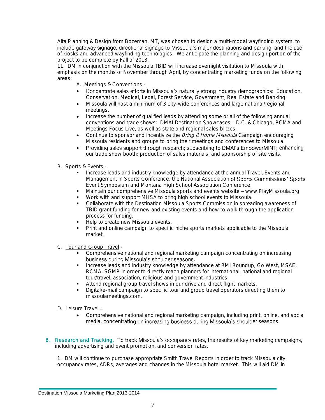Alta Planning & Design from Bozeman, MT, was chosen to design a multi-modal wayfinding system, to<br>include gateway signage, directional signage to Missoula's major destinations and parking, and the use of kiosks and advanced wayfinding technologies. We anticipate the planning and design portion of the project to be complete by Fall of 2013.

11. DM in conjunction with the Missoula TBID will increase overnight visitation to Missoula with emphasis on the months of November through April, by concentrating marketing funds on the following areas:

- A. Meetings & Conventions -
- Concentrate sales efforts in Missoula's naturally strong industry demographics: Education, Conservation, Medical, Legal, Forest Service, Government, Real Estate and Banking.
- Missoula will host a minimum of 3 city-wide conferences and large national/regional meetings.
- Increase the number of qualified leads by attending some or all of the following annual conventions and trade shows: DMAI Destination Showcases - D.C. & Chicago, PCMA and Meetings Focus Live, as well as state and regional sales blitzes.
- Continue to sponsor and incentivize the *Bring It Home Missoula* Campaign encouraging Missoula residents and groups to bring their meetings and conferences to Missoula.
- Providing sales support through research; subscribing to DMAI's EmpowerMINT; enhancing our trade show booth; production of sales materials; and sponsorship of site visits.
- B. Sports & Events
	- Increase leads and industry knowledge by attendance at the annual Travel, Events and Management in Sports Conference, the National Association of Sports Commissions' Sports Event Symposium and Montana High School Association Conference.
	- Maintain our comprehensive Missoula sports and events website www.PlayMissoula.org.
	- Work with and support MHSA to bring high school events to Missoula.
	- Collaborate with the Destination Missoula Sports Commission in spreading awareness of TBID grant funding for new and existing events and how to walk through the application process for funding.
	- Help to create new Missoula events.
	- Print and online campaign to specific niche sports markets applicable to the Missoula market.
- C. Tour and Group Travel
	- Comprehensive national and regional marketing campaign concentrating on increasing business during Missoula's shoulder seasons.
	- **Increase leads and industry knowledge by attendance at RMI Roundup, Go West, MSAE,** RCMA, SGMP in order to directly reach planners for international, national and regional tour/travel, association, religious and government industries.
	- Attend regional group travel shows in our drive and direct flight markets.
	- Digital/e-mail campaign to specific tour and group travel operators directing them to missoulameetings.com.
- D. Leisure Travel-
	- Comprehensive national and regional marketing campaign, including print, online, and social media, concentrating on increasing business during Missoula's shoulder seasons.
- B. Research and Tracking. To track Missoula's occupancy rates, the results of key marketing campaigns, including advertising and event promotion, and conversion rates.

1. DM will continue to purchase appropriate Smith Travel Reports in order to track Missoula city occupancy rates, ADRs, averages and changes in the Missoula hotel market. This will aid DM in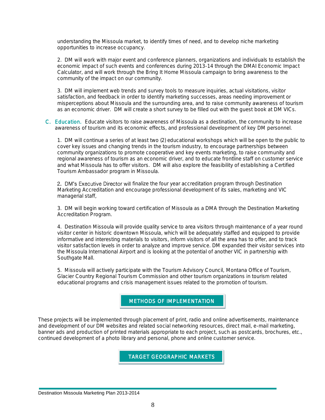understanding the Missoula market, to identify times of need, and to develop niche marketing opportunities to increase occupancy.

2. DM will work with major event and conference planners, organizations and individuals to establish the economic impact of such events and conferences during 2013-14 through the DMAI Economic Impact Calculator, and will work through the Bring It Home Missoula campaign to bring awareness to the community of the impact on our community.

3. DM will implement web trends and survey tools to measure inquiries, actual visitations, visitor satisfaction, and feedback in order to identify marketing successes, areas needing improvement or misperceptions about Missoula and the surrounding area, and to raise community awareness of tourism as an economic driver. DM will create a short survey to be filled out with the guest book at DM VICs.

C. Education. Educate visitors to raise awareness of Missoula as a destination, the community to increase awareness of tourism and its economic effects, and professional development of key DM personnel.

1. DM will continue a series of at least two (2) educational workshops which will be open to the public to cover key issues and changing trends in the tourism industry, to encourage partnerships between community organizations to promote cooperative and key events marketing, to raise community and regional awareness of tourism as an economic driver, and to educate frontline staff on customer service and what Missoula has to offer visitors. DM will also explore the feasibility of establishing a Certified Tourism Ambassador program in Missoula.

2. DM's Executive Director will finalize the four year accreditation program through Destination Marketing Accreditation and encourage professional development of its sales, marketing and VIC managerial staff,

3. DM will begin working toward certification of Missoula as a DMA through the Destination Marketing Accreditation Program.

4. Destination Missoula will provide quality service to area visitors through maintenance of a year round visitor center in historic downtown Missoula, which will be adequately staffed and equipped to provide informative and interesting materials to visitors, inform visitors of all the area has to offer, and to track visitor satisfaction levels in order to analyze and improve service. DM expanded their visitor services into the Missoula International Airport and is looking at the potential of another VIC in partnership with Southgate Mall.

5. Missoula will actively participate with the Tourism Advisory Council, Montana Office of Tourism, Glacier Country Regional Tourism Commission and other tourism organizations in tourism related educational programs and crisis management issues related to the promotion of tourism.

#### METHODS OF IMPLEMENTATION ī

These projects will be implemented through placement of print, radio and online advertisements, maintenance and development of our DM websites and related social networking resources, direct mail, e-mail marketing, banner ads and production of printed materials appropriate to each project, such as postcards, brochures, etc., continued development of a photo library and personal, phone and online customer service.

> TARGET GEOGRAPHIC MARKETS I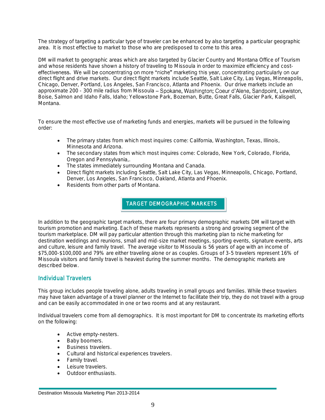The strategy of targeting a particular type of traveler can be enhanced by also targeting a particular geographic area. It is most effective to market to those who are predisposed to come to this area.

DM will market to geographic areas which are also targeted by Glacier Country and Montana Office of Tourism and whose residents have shown a history of traveling to Missoula in order to maximize efficiency and cost-<br>effectiveness. We will be concentrating on more "niche" marketing this year, concentrating particularly on our direct flight and drive markets. Our direct flight markets include Seattle, Salt Lake City, Las Vegas, Minneapolis, Chicago, Denver, Portland, Los Angeles, San Francisco, Atlanta and Phoenix. Our drive markets include an approximate 200 - 300 mile radius from Missoula - Spokane, Washington; Coeur d'Alene, Sandpoint, Lewiston, Boise, Salmon and Idaho Falls, Idaho; Yellowstone Park, Bozeman, Butte, Great Falls, Glacier Park, Kalispell, Montana.

To ensure the most effective use of marketing funds and energies, markets will be pursued in the following order:

- The primary states from which most inquires come: California, Washington, Texas, Illinois, Minnesota and Arizona.
- The secondary states from which most inquires come: Colorado, New York, Colorado, Florida, Oregon and Pennsylvania,.
- The states immediately surrounding Montana and Canada.
- Direct flight markets including Seattle, Salt Lake City, Las Vegas, Minneapolis, Chicago, Portland, Denver, Los Angeles, San Francisco, Oakland, Atlanta and Phoenix.
- Residents from other parts of Montana.

TARGET DEMOGRAPHIC MARKETS

In addition to the geographic target markets, there are four primary demographic markets DM will target with tourism promotion and marketing. Each of these markets represents a strong and growing segment of the tourism marketplace. DM will pay particular attention through this marketing plan to niche marketing for destination weddings and reunions, small and mid-size market meetings, sporting events, signature events, arts and culture, leisure and family travel. The average visitor to Missoula is 56 years of age with an income of \$75,000-\$100,000 and 79% are either traveling alone or as couples. Groups of 3-5 travelers represent 16% of Missoula visitors and family travel is heaviest during the summer months. The demographic markets are described below.

#### Individual Travelers

This group includes people traveling alone, adults traveling in small groups and families. While these travelers may have taken advantage of a travel planner or the Internet to facilitate their trip, they do not travel with a group and can be easily accommodated in one or two rooms and at any restaurant.

Individual travelers come from all demographics. It is most important for DM to concentrate its marketing efforts on the following:

- Active empty-nesters.
- Baby boomers.
- Business travelers.
- Cultural and historical experiences travelers.
- **•** Family travel.
- Leisure travelers.
- Outdoor enthusiasts.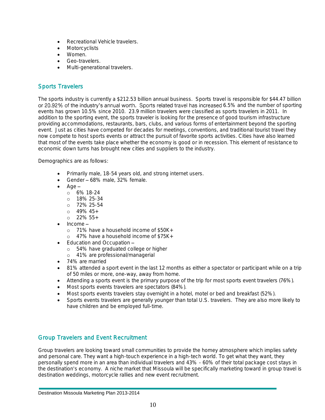- Recreational Vehicle travelers.
- Motorcyclists
- Women.
- Geo-travelers.
- Multi-generational travelers.

#### Sports Travelers

The sports industry is currently a \$212.53 billion annual business. Sports travel is responsible for \$44.47 billion or 20.92% of the industry's annual worth. Sports related travel has increased 6.5% and the number of sporting events has grown 10.5% since 2010. 23.9 million travelers were classified as sports travelers in 2011. In addition to the sporting event, the sports traveler is looking for the presence of good tourism infrastructure providing accommodations, restaurants, bars, clubs, and various forms of entertainment beyond the sporting event. Just as cities have competed for decades for meetings, conventions, and traditional tourist travel they now compete to host sports events or attract the pursuit of favorite sports activities. Cities have also learned that most of the events take place whether the economy is good or in recession. This element of resistance to economic down turns has brought new cities and suppliers to the industry.

Demographics are as follows:

- Primarily male, 18-54 years old, and strong internet users.
- Gender 68% male, 32% female.
- Age
	- o 6% 18-24
	- o 18% 25-34
	- o 72% 25-54
	- $0.49\% 45+$
	- $0.22\%55+$
- Income
	- o 71% have a household income of \$50K+
	- o 47% have a household income of \$75K+
- Education and Occupation
	- o 54% have graduated college or higher
	- o 41% are professional/managerial
- 74% are married
- 81% attended a sport event in the last 12 months as either a spectator or participant while on a trip of 50 miles or more, one-way, away from home.
- Attending a sports event is the primary purpose of the trip for most sports event travelers (76%).
- Most sports events travelers are spectators (84%).
- Most sports events travelers stay overnight in a hotel, motel or bed and breakfast (52%).
- Sports events travelers are generally younger than total U.S. travelers. They are also more likely to have children and be employed full-time.

#### Group Travelers and Event Recruitment

Group travelers are looking toward small communities to provide the homey atmosphere which implies safety and personal care. They want a high-touch experience in a high-tech world. To get what they want, they personally spend more in an area than individual travelers and 43% - 60% of their total package cost stays in the destination's economy. A niche market that Missoula will be specifically marketing toward in group travel is destination weddings, motorcycle rallies and new event recruitment.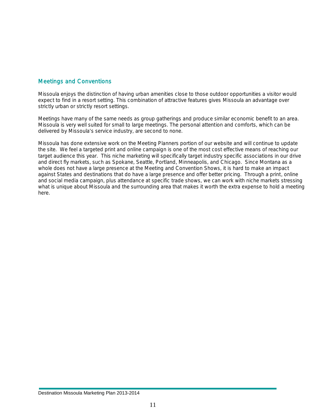#### Meetings and Conventions

Missoula enjoys the distinction of having urban amenities close to those outdoor opportunities a visitor would expect to find in a resort setting. This combination of attractive features gives Missoula an advantage over strictly urban or strictly resort settings.

Meetings have many of the same needs as group gatherings and produce similar economic benefit to an area. Missoula is very well suited for small to large meetings. The personal attention and comforts, which can be delivered by Missoula's service industry, are second to none.

Missoula has done extensive work on the Meeting Planners portion of our website and will continue to update the site. We feel a targeted print and online campaign is one of the most cost effective means of reaching our target audience this year. This niche marketing will specifically target industry specific associations in our drive and direct fly markets, such as Spokane, Seattle, Portland, Minneapolis, and Chicago. Since Montana as a whole does not have a large presence at the Meeting and Convention Shows, it is hard to make an impact against States and destinations that do have a large presence and offer better pricing. Through a print, online and social media campaign, plus attendance at specific trade shows, we can work with niche markets stressing what is unique about Missoula and the surrounding area that makes it worth the extra expense to hold a meeting here.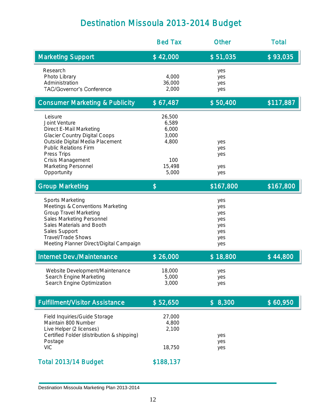## Destination Missoula 2013-2014 Budget

|                                                                                                                                                                                                                                          | <b>Bed Tax</b>                                                       | Other                                                | <b>Total</b> |
|------------------------------------------------------------------------------------------------------------------------------------------------------------------------------------------------------------------------------------------|----------------------------------------------------------------------|------------------------------------------------------|--------------|
| <b>Marketing Support</b>                                                                                                                                                                                                                 | \$42,000                                                             | \$51,035                                             | \$93,035     |
| Research<br>Photo Library<br>Administration<br>TAC/Governor's Conference                                                                                                                                                                 | 4,000<br>36,000<br>2,000                                             | yes<br>yes<br>yes<br>yes                             |              |
| <b>Consumer Marketing &amp; Publicity</b>                                                                                                                                                                                                | \$67,487                                                             | \$50,400                                             | \$117,887    |
| Leisure<br>Joint Venture<br>Direct E-Mail Marketing<br><b>Glacier Country Digital Coops</b><br>Outside Digital Media Placement<br><b>Public Relations Firm</b><br>Press Trips<br>Crisis Management<br>Marketing Personnel<br>Opportunity | 26,500<br>6,589<br>6,000<br>3,000<br>4,800<br>100<br>15,498<br>5,000 | yes<br>yes<br>yes<br>yes<br>yes                      |              |
| <b>Group Marketing</b>                                                                                                                                                                                                                   | \$                                                                   | \$167,800                                            | \$167,800    |
| Sports Marketing<br>Meetings & Conventions Marketing<br><b>Group Travel Marketing</b><br>Sales Marketing Personnel<br>Sales Materials and Booth<br>Sales Support<br>Travel/Trade Shows<br>Meeting Planner Direct/Digital Campaign        |                                                                      | yes<br>yes<br>yes<br>yes<br>yes<br>yes<br>yes<br>yes |              |
| Internet Dev./Maintenance                                                                                                                                                                                                                | \$26,000                                                             | \$18,800                                             | \$44,800     |
| Website Development/Maintenance<br>Search Engine Marketing<br>Search Engine Optimization                                                                                                                                                 | 18,000<br>5,000<br>3,000                                             | yes<br>yes<br>yes                                    |              |
| <b>Fulfillment/Visitor Assistance</b>                                                                                                                                                                                                    | \$52,650                                                             | \$8,300                                              | \$60,950     |
| Field Inquiries/Guide Storage<br>Maintain 800 Number<br>Live Helper (2 licenses)<br>Certified Folder (distribution & shipping)<br>Postage<br><b>VIC</b>                                                                                  | 27,000<br>4,800<br>2,100<br>18,750                                   | yes<br>yes<br>yes                                    |              |
| Total 2013/14 Budget                                                                                                                                                                                                                     | \$188,137                                                            |                                                      |              |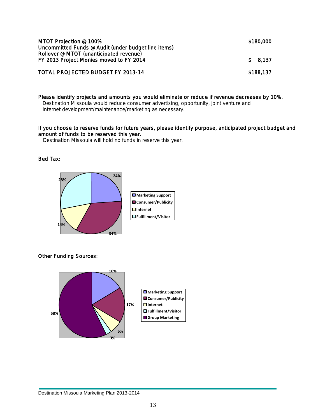| MTOT Projection @ 100%<br>Uncommitted Funds @ Audit (under budget line items)      |  |           |  |  |
|------------------------------------------------------------------------------------|--|-----------|--|--|
| Rollover @ MTOT (unanticipated revenue)<br>FY 2013 Project Monies moved to FY 2014 |  | \$8.137   |  |  |
| TOTAL PROJECTED BUDGET FY 2013-14                                                  |  | \$188,137 |  |  |

Please identify projects and amounts you would eliminate or reduce if revenue decreases by 10%. Destination Missoula would reduce consumer advertising, opportunity, joint venture and Internet development/maintenance/marketing as necessary.

#### If you choose to reserve funds for future years, please identify purpose, anticipated project budget and amount of funds to be reserved this year.

Destination Missoula will hold no funds in reserve this year.

Bed Tax:



Other Funding Sources:

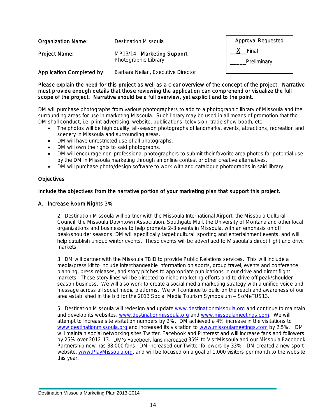| <b>Organization Name:</b> | Destination Missoula                               | Approval Requested   |
|---------------------------|----------------------------------------------------|----------------------|
| Project Name:             | MP13/14: Marketing Support<br>Photographic Library | Final<br>Preliminary |
| Application Completed by: | Barbara Neilan, Executive Director                 |                      |

#### Please explain the need for this project as well as a clear overview of the concept of the project. Narrative must provide enough details that those reviewing the application can comprehend or visualize the full scope of the project. Narrative should be a full overview, yet explicit and to the point.

DM will purchase photographs from various photographers to add to a photographic library of Missoula and the surrounding areas for use in marketing Missoula. Such library may be used in all means of promotion that the DM shall conduct, i.e. print advertising, website, publications, television, trade show booth, etc.

- The photos will be high quality, all-season photographs of landmarks, events, attractions, recreation and scenery in Missoula and surrounding areas.
- DM will have unrestricted use of all photographs.
- DM will own the rights to said photographs.
- DM will encourage non-professional photographers to submit their favorite area photos for potential use by the DM in Missoula marketing through an online contest or other creative alternatives.
- DM will purchase photo/design software to work with and catalogue photographs in said library.

#### **Objectives**

#### Include the objectives from the narrative portion of your marketing plan that support this project.

#### A. Increase Room Nights 3%.

2. Destination Missoula will partner with the Missoula International Airport, the Missoula Cultural Council, the Missoula Downtown Association, Southgate Mall, the University of Montana and other local organizations and businesses to help promote 2-3 events in Missoula, with an emphasis on off peak/shoulder seasons. DM will specifically target cultural, sporting and entertainment events, and will help establish unique winter events. These events will be advertised to Missoula's direct flight and drive markets.

3. DM will partner with the Missoula TBID to provide Public Relations services. This will include a media/press kit to include interchangeable information on sports, group travel, events and conference planning, press releases, and story pitches to appropriate publications in our drive and direct flight markets. These story lines will be directed to niche marketing efforts and to drive off peak/shoulder season business. We will also work to create a social media marketing strategy with a unified voice and message across all social media platforms. We will continue to build on the reach and awareness of our area established in the bid for the 2013 Social Media Tourism Symposium - SoMeTUS13.

5. Destination Missoula will redesign and update [www.destinationmissoula.org](http://www.destinationmissoula.org/) and continue to maintain and develop its websites, [www.destinationmissoula.org](http://www.destinationmissoula.org/) an[d www.missoulameetings.com.](http://www.missoulameetings.com/) We will attempt to increase site visitation numbers by 2%. DM achieved a 4% increase in the visitations to [www.destinationmissoula.org](http://www.destinationmissoula.org/) and increased its visitation to [www.missoulameetings.com](http://www.missoulameetings.com/) by 2.5%. DM will maintain social networking sites Twitter, Facebook and Pinterest and will increase fans and followers by 25% over 2012-13. DM's Facebook fans increased 35% to VisitMissoula and our Missoula Facebook Partnership now has 38,000 fans. DM increased our Twitter followers by 33%. DM created a new sport website, [www.PlayMissoula.org,](http://www.playmissoula.org/) and will be focused on a goal of 1,000 visitors per month to the website this year.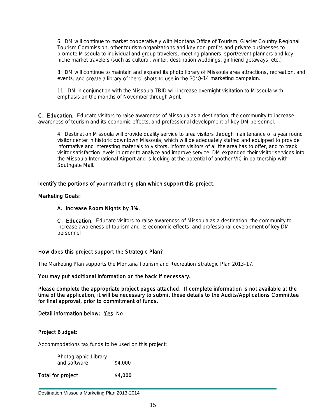6. DM will continue to market cooperatively with Montana Office of Tourism, Glacier Country Regional Tourism Commission, other tourism organizations and key non-profits and private businesses to promote Missoula to individual and group travelers, meeting planners, sport/event planners and key niche market travelers (such as cultural, winter, destination weddings, girlfriend getaways, etc.).

8. DM will continue to maintain and expand its photo library of Missoula area attractions, recreation, and events, and create a library of 'hero' shots to use in the 2013-14 marketing campaign.

11. DM in conjunction with the Missoula TBID will increase overnight visitation to Missoula with emphasis on the months of November through April,

C. Education. Educate visitors to raise awareness of Missoula as a destination, the community to increase awareness of tourism and its economic effects, and professional development of key DM personnel.

4. Destination Missoula will provide quality service to area visitors through maintenance of a year round visitor center in historic downtown Missoula, which will be adequately staffed and equipped to provide informative and interesting materials to visitors, inform visitors of all the area has to offer, and to track visitor satisfaction levels in order to analyze and improve service. DM expanded their visitor services into the Missoula International Airport and is looking at the potential of another VIC in partnership with Southgate Mall.

#### Identify the portions of your marketing plan which support this project.

#### Marketing Goals:

#### A. Increase Room Nights by 3%.

C. Education. Educate visitors to raise awareness of Missoula as a destination, the community to increase awareness of tourism and its economic effects, and professional development of key DM personnel

#### How does this project support the Strategic Plan?

The Marketing Plan supports the Montana Tourism and Recreation Strategic Plan 2013-17.

#### You may put additional information on the back if necessary.

Please complete the appropriate project pages attached. If complete information is not available at the time of the application, it will be necessary to submit these details to the Audits/Applications Committee for final approval, prior to commitment of funds.

Detail information below: Yes No

#### Project Budget:

Accommodations tax funds to be used on this project:

Photographic Library and software \$4,000

Total for project \$4,000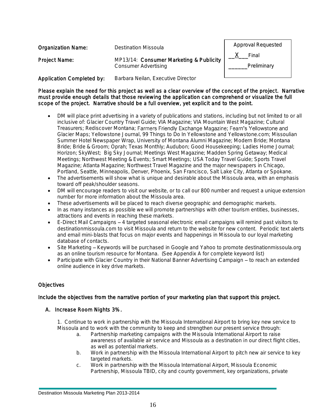| <b>Organization Name:</b>        | Destination Missoula                                                   |                      |  |  |  |
|----------------------------------|------------------------------------------------------------------------|----------------------|--|--|--|
| Project Name:                    | MP13/14: Consumer Marketing & Publicity<br><b>Consumer Advertising</b> | Final<br>Preliminary |  |  |  |
| <b>Application Completed by:</b> | Barbara Neilan, Executive Director                                     |                      |  |  |  |

Please explain the need for this project as well as a clear overview of the concept of the project. Narrative must provide enough details that those reviewing the application can comprehend or visualize the full scope of the project. Narrative should be a full overview, yet explicit and to the point.

- DM will place print advertising in a variety of publications and stations, including but not limited to or all inclusive of: Glacier Country Travel Guide; VIA Magazine; VIA Mountain West Magazine; Cultural Treasurers; Rediscover Montana; Farmers Friendly Exchange Magazine; Fearn's Yellowstone and Glacier Maps; Yellowstone Journal, 99 Things to Do In Yellowstone and Yellowstone.com; Missoulian Summer Hotel Newspaper Wrap, University of Montana Alumni Magazine; Modern Bride; Montana Bride; Bride & Groom; Oprah; Texas Monthly; Audubon; Good Housekeeping; Ladies Home Journal; Horizon; SkyWest; Big Sky Journal; Meetings West Magazine; Madden Spring Getaway; Medical Meetings; Northwest Meeting & Events; Smart Meetings; USA Today Travel Guide; Sports Travel Magazine; Atlanta Magazine; Northwest Travel Magazine and the major newspapers in Chicago, Portland, Seattle, Minneapolis, Denver, Phoenix, San Francisco, Salt Lake City, Atlanta or Spokane.
- The advertisements will show what is unique and desirable about the Missoula area, with an emphasis toward off peak/shoulder seasons.
- DM will encourage readers to visit our website, or to call our 800 number and request a unique extension number for more information about the Missoula area.
- These advertisements will be placed to reach diverse geographic and demographic markets.
- In as many instances as possible we will promote partnerships with other tourism entities, businesses, attractions and events in reaching these markets.
- $\bullet$  E-Direct Mail Campaigns  $-4$  targeted seasonal electronic email campaigns will remind past visitors to destinationmissoula.com to visit Missoula and return to the website for new content. Periodic text alerts and email mini-blasts that focus on major events and happenings in Missoula to our loyal marketing database of contacts.
- Site Marketing Keywords will be purchased in Google and Yahoo to promote destinationmissoula.org as an online tourism resource for Montana. (See Appendix A for complete keyword list)
- Participate with Glacier Country in their National Banner Advertising Campaign to reach an extended online audience in key drive markets.

#### **Objectives**

#### Include the objectives from the narrative portion of your marketing plan that support this project.

#### A. Increase Room Nights 3%.

1. Continue to work in partnership with the Missoula International Airport to bring key new service to Missoula and to work with the community to keep and strengthen our present service through:

- a. Partnership marketing campaigns with the Missoula International Airport to raise awareness of available air service and Missoula as a destination in our direct flight cities, as well as potential markets.
- b. Work in partnership with the Missoula International Airport to pitch new air service to key targeted markets.
- c. Work in partnership with the Missoula International Airport, Missoula Economic Partnership, Missoula TBID, city and county government, key organizations, private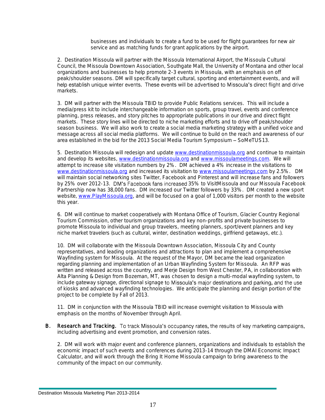businesses and individuals to create a fund to be used for flight guarantees for new air service and as matching funds for grant applications by the airport.

2. Destination Missoula will partner with the Missoula International Airport, the Missoula Cultural Council, the Missoula Downtown Association, Southgate Mall, the University of Montana and other local organizations and businesses to help promote 2-3 events in Missoula, with an emphasis on off peak/shoulder seasons. DM will specifically target cultural, sporting and entertainment events, and will<br>help establish unique winter events. These events will be advertised to Missoula's direct flight and drive markets.

3. DM will partner with the Missoula TBID to provide Public Relations services. This will include a media/press kit to include interchangeable information on sports, group travel, events and conference planning, press releases, and story pitches to appropriate publications in our drive and direct flight markets. These story lines will be directed to niche marketing efforts and to drive off peak/shoulder season business. We will also work to create a social media marketing strategy with a unified voice and message across all social media platforms. We will continue to build on the reach and awareness of our area established in the bid for the 2013 Social Media Tourism Symposium - SoMeTUS13.

5. Destination Missoula will redesign and update [www.destinationmissoula.org](http://www.destinationmissoula.org/) and continue to maintain and develop its websites, [www.destinationmissoula.org](http://www.destinationmissoula.org/) an[d www.missoulameetings.com.](http://www.missoulameetings.com/) We will attempt to increase site visitation numbers by 2%. DM achieved a 4% increase in the visitations to [www.destinationmissoula.org](http://www.destinationmissoula.org/) and increased its visitation to [www.missoulameetings.com](http://www.missoulameetings.com/) by 2.5%. DM will maintain social networking sites Twitter, Facebook and Pinterest and will increase fans and followers by 25% over 2012-13. DM's Facebook fans increased 35% to VisitMissoula and our Missoula Facebook Partnership now has 38,000 fans. DM increased our Twitter followers by 33%. DM created a new sport website, [www.PlayMissoula.org,](http://www.playmissoula.org/) and will be focused on a goal of 1,000 visitors per month to the website this year.

6. DM will continue to market cooperatively with Montana Office of Tourism, Glacier Country Regional Tourism Commission, other tourism organizations and key non-profits and private businesses to promote Missoula to individual and group travelers, meeting planners, sport/event planners and key niche market travelers (such as cultural, winter, destination weddings, girlfriend getaways, etc.).

10. DM will collaborate with the Missoula Downtown Association, Missoula City and County representatives, and leading organizations and attractions to plan and implement a comprehensive Wayfinding system for Missoula. At the request of the Mayor, DM became the lead organization regarding planning and implementation of an Urban Wayfinding System for Missoula. An RFP was written and released across the country, and Merje Design from West Chester, PA, in collaboration with Alta Planning & Design from Bozeman, MT, was chosen to design a multi-modal wayfinding system, to include gateway signage, directional signage to Missoula's major destinations and parking, and the use of kiosks and advanced wayfinding technologies. We anticipate the planning and design portion of the project to be complete by Fall of 2013.

11. DM in conjunction with the Missoula TBID will increase overnight visitation to Missoula with emphasis on the months of November through April.

B. Research and Tracking. To track Missoula's occupancy rates, the results of key marketing campaigns, including advertising and event promotion, and conversion rates.

2. DM will work with major event and conference planners, organizations and individuals to establish the economic impact of such events and conferences during 2013-14 through the DMAI Economic Impact Calculator, and will work through the Bring It Home Missoula campaign to bring awareness to the community of the impact on our community.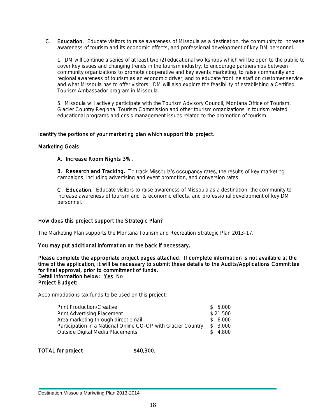C. Education. Educate visitors to raise awareness of Missoula as a destination, the community to increase awareness of tourism and its economic effects, and professional development of key DM personnel.

1. DM will continue a series of at least two (2) educational workshops which will be open to the public to cover key issues and changing trends in the tourism industry, to encourage partnerships between community organizations to promote cooperative and key events marketing, to raise community and regional awareness of tourism as an economic driver, and to educate frontline staff on customer service and what Missoula has to offer visitors. DM will also explore the feasibility of establishing a Certified Tourism Ambassador program in Missoula.

5. Missoula will actively participate with the Tourism Advisory Council, Montana Office of Tourism, Glacier Country Regional Tourism Commission and other tourism organizations in tourism related educational programs and crisis management issues related to the promotion of tourism.

#### Identify the portions of your marketing plan which support this project.

#### Marketing Goals:

#### A. Increase Room Nights 3%.

B. Research and Tracking. To track Missoula's occupancy rates, the results of key marketing campaigns, including advertising and event promotion, and conversion rates.

C. Education. Educate visitors to raise awareness of Missoula as a destination, the community to increase awareness of tourism and its economic effects, and professional development of key DM personnel.

#### How does this project support the Strategic Plan?

The Marketing Plan supports the Montana Tourism and Recreation Strategic Plan 2013-17.

#### You may put additional information on the back if necessary.

Please complete the appropriate project pages attached. If complete information is not available at the time of the application, it will be necessary to submit these details to the Audits/Applications Committee for final approval, prior to commitment of funds. Detail information below: Yes No Project Budget:

Accommodations tax funds to be used on this project:

| <b>Print Production/Creative</b>                              | \$5,000  |
|---------------------------------------------------------------|----------|
| Print Advertising Placement                                   | \$21,500 |
| Area marketing through direct email                           | \$ 6.000 |
| Participation in a National Online CO-OP with Glacier Country | \$ 3,000 |
| Outside Digital Media Placements                              | \$4,800  |

TOTAL for project \$40,300.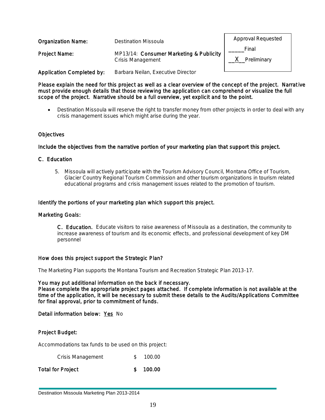| <b>Organization Name:</b>        | Destination Missoula                                                | Approval Requested   |
|----------------------------------|---------------------------------------------------------------------|----------------------|
| Project Name:                    | MP13/14: Consumer Marketing & Publicity<br><b>Crisis Management</b> | Final<br>Preliminary |
| <b>Application Completed by:</b> | Barbara Neilan, Executive Director                                  |                      |

Please explain the need for this project as well as a clear overview of the concept of the project. Narrat ive must provide enough details that those reviewing the application can comprehend or visualize the full scope of the project. Narrative should be a full overview, yet explicit and to the point.

 Destination Missoula will reserve the right to transfer money from other projects in order to deal with any crisis management issues which might arise during the year.

#### **Objectives**

#### Include the objectives from the narrative portion of your marketing plan that support this project.

#### C. Education

5. Missoula will actively participate with the Tourism Advisory Council, Montana Office of Tourism, Glacier Country Regional Tourism Commission and other tourism organizations in tourism related educational programs and crisis management issues related to the promotion of tourism.

#### Identify the portions of your marketing plan which support this project.

#### Marketing Goals:

C. Education. Educate visitors to raise awareness of Missoula as a destination, the community to increase awareness of tourism and its economic effects, and professional development of key DM personnel

#### How does this project support the Strategic Plan?

The Marketing Plan supports the Montana Tourism and Recreation Strategic Plan 2013-17.

#### You may put additional information on the back if necessary.

Please complete the appropriate project pages attached. If complete information is not available at the time of the application, it will be necessary to submit these details to the Audits/Applications Committee for final approval, prior to commitment of funds.

Detail information below: Yes No

#### Project Budget:

Accommodations tax funds to be used on this project:

| Crisis Management | 100.00 |
|-------------------|--------|
| Total for Project | 100.00 |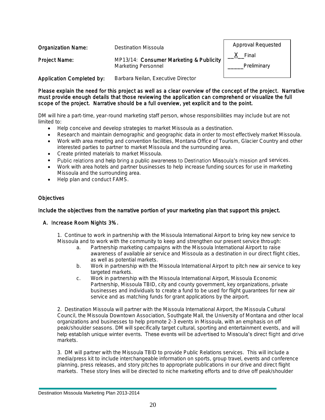| <b>Organization Name:</b>        | <b>Destination Missoula</b>                                    | Approval Requested   |
|----------------------------------|----------------------------------------------------------------|----------------------|
| Project Name:                    | MP13/14: Consumer Marketing & Publicity<br>Marketing Personnel | Final<br>Preliminary |
| <b>Application Completed by:</b> | Barbara Neilan, Executive Director                             |                      |

Please explain the need for this project as well as a clear overview of the concept of the project. Narrative must provide enough details that those reviewing the application can comprehend or visualize the full scope of the project. Narrative should be a full overview, yet explicit and to the point.

DM will hire a part-time, year-round marketing staff person, whose responsibilities may include but are not limited to:

- Help conceive and develop strategies to market Missoula as a destination.
- Research and maintain demographic and geographic data in order to most effectively market Missoula.
- Work with area meeting and convention facilities, Montana Office of Tourism, Glacier Country and other interested parties to partner to market Missoula and the surrounding area.
- Create printed materials to market Missoula.
- Public relations and help bring a public awareness to Destination Missoula's mission and services.
- Work with area hotels and partner businesses to help increase funding sources for use in marketing Missoula and the surrounding area.
- Help plan and conduct FAMS.

#### **Objectives**

#### Include the objectives from the narrative portion of your marketing plan that support this project.

#### A. Increase Room Nights 3%.

1. Continue to work in partnership with the Missoula International Airport to bring key new service to Missoula and to work with the community to keep and strengthen our present service through:

- a. Partnership marketing campaigns with the Missoula International Airport to raise awareness of available air service and Missoula as a destination in our direct flight cities, as well as potential markets.
- b. Work in partnership with the Missoula International Airport to pitch new air service to key targeted markets.
- c. Work in partnership with the Missoula International Airport, Missoula Economic Partnership, Missoula TBID, city and county government, key organizations, private businesses and individuals to create a fund to be used for flight guarantees for new air service and as matching funds for grant applications by the airport.

2. Destination Missoula will partner with the Missoula International Airport, the Missoula Cultural Council, the Missoula Downtown Association, Southgate Mall, the University of Montana and other local organizations and businesses to help promote 2-3 events in Missoula, with an emphasis on off peak/shoulder seasons. DM will specifically target cultural, sporting and entertainment events, and will help establish unique winter events. These events will be advertised to Missoula's direct flight and drive markets.

3. DM will partner with the Missoula TBID to provide Public Relations services. This will include a media/press kit to include interchangeable information on sports, group travel, events and conference planning, press releases, and story pitches to appropriate publications in our drive and direct flight markets. These story lines will be directed to niche marketing efforts and to drive off peak/shoulder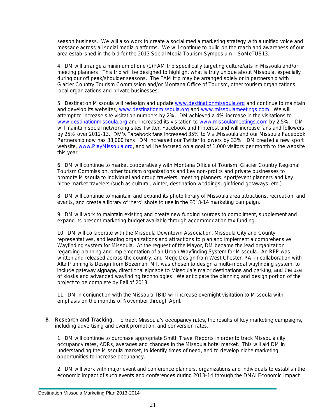season business. We will also work to create a social media marketing strategy with a unified voice and message across all social media platforms. We will continue to build on the reach and awareness of our area established in the bid for the 2013 Social Media Tourism Symposium - SoMeTUS13.

4. DM will arrange a minimum of one (1) FAM trip specifically targeting culture/arts in Missoula and/or meeting planners. This trip will be designed to highlight what is truly unique about Missoula, especially during our off peak/shoulder seasons. The FAM trip may be arranged solely or in partnership with Glacier Country Tourism Commission and/or Montana Office of Tourism, other tourism organizations, local organizations and private businesses.

5. Destination Missoula will redesign and update [www.destinationmissoula.org](http://www.destinationmissoula.org/) and continue to maintain and develop its websites, [www.destinationmissoula.org](http://www.destinationmissoula.org/) an[d www.missoulameetings.com.](http://www.missoulameetings.com/) We will attempt to increase site visitation numbers by 2%. DM achieved a 4% increase in the visitations to [www.destinationmissoula.org](http://www.destinationmissoula.org/) and increased its visitation to [www.missoulameetings.com](http://www.missoulameetings.com/) by 2.5%. DM will maintain social networking sites Twitter, Facebook and Pinterest and will increase fans and followers by 25% over 2012-13. DM's Facebook fans increased 35% to VisitMissoula and our Missoula Facebook Partnership now has 38,000 fans. DM increased our Twitter followers by 33%. DM created a new sport website, [www.PlayMissoula.org,](http://www.playmissoula.org/) and will be focused on a goal of 1,000 visitors per month to the website this year.

6. DM will continue to market cooperatively with Montana Office of Tourism, Glacier Country Regional Tourism Commission, other tourism organizations and key non-profits and private businesses to promote Missoula to individual and group travelers, meeting planners, sport/event planners and key niche market travelers (such as cultural, winter, destination weddings, girlfriend getaways, etc.).

8. DM will continue to maintain and expand its photo library of Missoula area attractions, recreation, and events, and create a library of 'hero' shots to use in the 2013-14 marketing campaign.

9. DM will work to maintain existing and create new funding sources to compliment, supplement and expand its present marketing budget available through accommodation tax funding.

10. DM will collaborate with the Missoula Downtown Association, Missoula City and County representatives, and leading organizations and attractions to plan and implement a comprehensive Wayfinding system for Missoula. At the request of the Mayor, DM became the lead organization regarding planning and implementation of an Urban Wayfinding System for Missoula. An RFP was written and released across the country, and Merje Design from West Chester, PA, in collaboration with Alta Planning & Design from Bozeman, MT, was chosen to design a multi-modal wayfinding system, to include gateway signage, directional signage to Missoula's major destinations and parking, and the use of kiosks and advanced wayfinding technologies. We anticipate the planning and design portion of the project to be complete by Fall of 2013.

11. DM in conjunction with the Missoula TBID will increase overnight visitation to Missoula with emphasis on the months of November through April.

B. Research and Tracking. To track Missoula's occupancy rates, the results of key marketing campaigns, including advertising and event promotion, and conversion rates.

1. DM will continue to purchase appropriate Smith Travel Reports in order to track Missoula city occupancy rates, ADRs, averages and changes in the Missoula hotel market. This will aid DM in understanding the Missoula market, to identify times of need, and to develop niche marketing opportunities to increase occupancy.

2. DM will work with major event and conference planners, organizations and individuals to establish the economic impact of such events and conferences during 2013-14 through the DMAI Economic Impact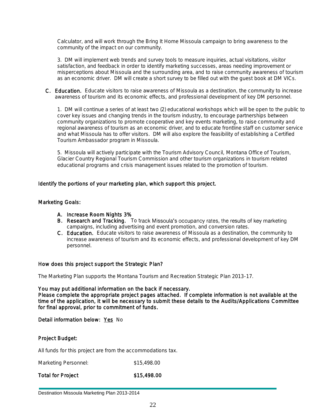Calculator, and will work through the Bring It Home Missoula campaign to bring awareness to the community of the impact on our community.

3. DM will implement web trends and survey tools to measure inquiries, actual visitations, visitor satisfaction, and feedback in order to identify marketing successes, areas needing improvement or misperceptions about Missoula and the surrounding area, and to raise community awareness of tourism as an economic driver. DM will create a short survey to be filled out with the guest book at DM VICs.

C. Education. Educate visitors to raise awareness of Missoula as a destination, the community to increase awareness of tourism and its economic effects, and professional development of key DM personnel.

1. DM will continue a series of at least two (2) educational workshops which will be open to the public to cover key issues and changing trends in the tourism industry, to encourage partnerships between community organizations to promote cooperative and key events marketing, to raise community and regional awareness of tourism as an economic driver, and to educate frontline staff on customer service and what Missoula has to offer visitors. DM will also explore the feasibility of establishing a Certified Tourism Ambassador program in Missoula.

5. Missoula will actively participate with the Tourism Advisory Council, Montana Office of Tourism, Glacier Country Regional Tourism Commission and other tourism organizations in tourism related educational programs and crisis management issues related to the promotion of tourism.

#### Identify the portions of your marketing plan, which support this project.

#### Marketing Goals:

- A. Increase Room Nights 3%
- B. Research and Tracking. To track Missoula's occupancy rates, the results of key marketing campaigns, including advertising and event promotion, and conversion rates.
- C. Education. Educate visitors to raise awareness of Missoula as a destination, the community to increase awareness of tourism and its economic effects, and professional development of key DM personnel.

#### How does this project support the Strategic Plan?

The Marketing Plan supports the Montana Tourism and Recreation Strategic Plan 2013-17.

You may put additional information on the back if necessary. Please complete the appropriate project pages attached. If complete information is not available at the time of the application, it will be necessary to submit these details to the Audits/Applications Committee for final approval, prior to commitment of funds.

Detail information below: Yes No

#### Project Budget:

All funds for this project are from the accommodations tax.

Marketing Personnel:  $$15,498.00$ 

Total for Project \$15,498.00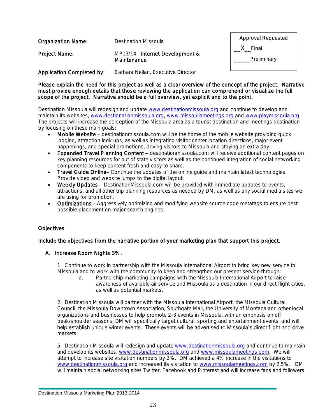| <b>Organization Name:</b>        | Destination Missoula               | <b>Approval Requested</b> |
|----------------------------------|------------------------------------|---------------------------|
| Project Name:                    | MP13/14: Internet Development &    | Final                     |
|                                  | Maintenance                        | Preliminary               |
| <b>Application Completed by:</b> | Barbara Neilan, Executive Director |                           |

Please explain the need for this project as well as a clear overview of the concept of the project. Narrative must provide enough details that those reviewing the application can comprehend or visuali ze the full scope of the project. Narrative should be a full overview, yet explicit and to the point.

Destination Missoula will redesign and update [www.destinationmissoula.org](http://www.destinationmissoula.org/) and continue to develop and maintain its websites, [www.destionationmissoula.org,](http://www.destionationmissoula.org/) [www.missouliameetings.org](http://www.missouliameetings.org/) and [www.playmissoula.org.](http://www.playmissoula.org/) The projects will increase the perception of the Missoula area as a tourist destination and meetings destination by focusing on these main goals:

- Mobile Website destinationmissoula.com will be the home of the mobile website providing quick lodging, attraction look ups, as well as integrating visitor center location directions, major event happenings, and special promotions, driving visitors to Missoula and staying an extra day!
- Expanded Travel Planning Content destinationmissoula.com will receive additional content pages on key planning resources for out of state visitors as well as the continued integration of social networking components to keep content fresh and easy to share.
- Travel Guide Online Continue the updates of the online quide and maintain latest technologies. Provide video and website jumps to the digital layout.
- Weekly Updates DestinationMissoula.com will be provided with immediate updates to events, attractions, and all other trip planning resources as needed by DM, as well as any social media sites we are using for promotion.
- Optimizations Aggressively optimizing and modifying website source code metatags to ensure best possible placement on major search engines

#### **Objectives**

#### Include the objectives from the narrative portion of your marketing plan that support this project.

#### A. Increase Room Nights 3%.

1. Continue to work in partnership with the Missoula International Airport to bring key new service to Missoula and to work with the community to keep and strengthen our present service through:

a. Partnership marketing campaigns with the Missoula International Airport to raise awareness of available air service and Missoula as a destination in our direct flight cities, as well as potential markets.

2. Destination Missoula will partner with the Missoula International Airport, the Missoula Cultural Council, the Missoula Downtown Association, Southgate Mall, the University of Montana and other local organizations and businesses to help promote 2-3 events in Missoula, with an emphasis on off peak/shoulder seasons. DM will specifically target cultural, sporting and entertainment events, and will<br>help establish unique winter events. These events will be advertised to Missoula's direct flight and drive markets.

5. Destination Missoula will redesign and update [www.destinationmissoula.org](http://www.destinationmissoula.org/) and continue to maintain and develop its websites, [www.destinationmissoula.org](http://www.destinationmissoula.org/) an[d www.missoulameetings.com.](http://www.missoulameetings.com/) We will attempt to increase site visitation numbers by 2%. DM achieved a 4% increase in the visitations to [www.destinationmissoula.org](http://www.destinationmissoula.org/) and increased its visitation to [www.missoulameetings.com](http://www.missoulameetings.com/) by 2.5%. DM will maintain social networking sites Twitter, Facebook and Pinterest and will increase fans and followers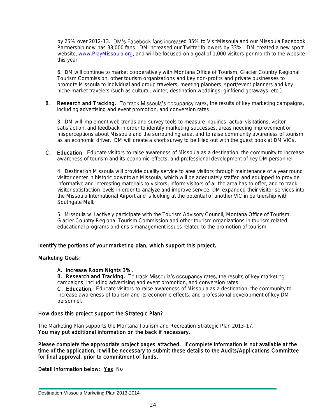by 25% over 2012-13. DM's Facebook fans increased 35% to VisitMissoula and our Missoula Facebook Partnership now has 38,000 fans. DM increased our Twitter followers by 33%. DM created a new sport website, [www.PlayMissoula.org,](http://www.playmissoula.org/) and will be focused on a goal of 1,000 visitors per month to the website this year.

6. DM will continue to market cooperatively with Montana Office of Tourism, Glacier Country Regional Tourism Commission, other tourism organizations and key non-profits and private businesses to promote Missoula to individual and group travelers, meeting planners, sport/event planners and key niche market travelers (such as cultural, winter, destination weddings, girlfriend getaways, etc.).

B. Research and Tracking. To track Missoula's occupancy rates, the results of key marketing campaigns, including advertising and event promotion, and conversion rates.

3. DM will implement web trends and survey tools to measure inquiries, actual visitations, visitor satisfaction, and feedback in order to identify marketing successes, areas needing improvement or misperceptions about Missoula and the surrounding area, and to raise community awareness of tourism as an economic driver. DM will create a short survey to be filled out with the guest book at DM VICs.

C. Education. Educate visitors to raise awareness of Missoula as a destination, the community to increase awareness of tourism and its economic effects, and professional development of key DM personnel.

4. Destination Missoula will provide quality service to area visitors through maintenance of a year round visitor center in historic downtown Missoula, which will be adequately staffed and equipped to provide informative and interesting materials to visitors, inform visitors of all the area has to offer, and to track visitor satisfaction levels in order to analyze and improve service. DM expanded their visitor services into the Missoula International Airport and is looking at the potential of another VIC in partnership with Southgate Mall.

5. Missoula will actively participate with the Tourism Advisory Council, Montana Office of Tourism, Glacier Country Regional Tourism Commission and other tourism organizations in tourism related educational programs and crisis management issues related to the promotion of tourism.

#### Identify the portions of your marketing plan, which support this project.

#### Marketing Goals:

#### A. Increase Room Nights 3%.

B. Research and Tracking. To track Missoula's occupancy rates, the results of key marketing campaigns, including advertising and event promotion, and conversion rates.

C. Education. Educate visitors to raise awareness of Missoula as a destination, the community to increase awareness of tourism and its economic effects, and professional development of key DM personnel.

#### How does this project support the Strategic Plan?

The Marketing Plan supports the Montana Tourism and Recreation Strategic Plan 2013-17. You may put additional information on the back if necessary.

Please complete the appropriate project pages attached. If complete information is not available at the time of the application, it will be necessary to submit these details to the Audits/Applications Committee for final approval, prior to commitment of funds.

Detail information below: Yes No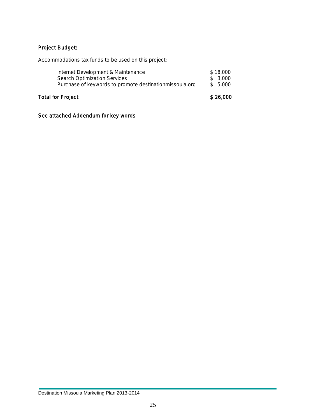#### Project Budget:

Accommodations tax funds to be used on this project:

| Internet Development & Maintenance<br><b>Search Optimization Services</b><br>Purchase of keywords to promote destinationmissoula.org | \$26.000                        |  |  |  |  |  |  |  |  |  |  |  |  |
|--------------------------------------------------------------------------------------------------------------------------------------|---------------------------------|--|--|--|--|--|--|--|--|--|--|--|--|
|                                                                                                                                      | \$18,000<br>\$3,000<br>\$ 5,000 |  |  |  |  |  |  |  |  |  |  |  |  |

#### See attached Addendum for key words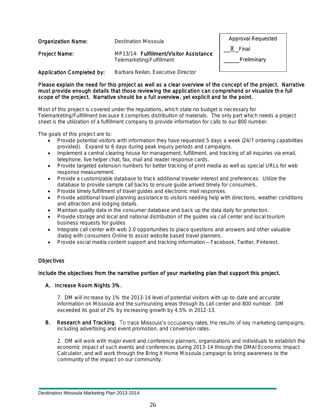| <b>Organization Name:</b>        | Destination Missoula                                                 | <b>Approval Requested</b> |
|----------------------------------|----------------------------------------------------------------------|---------------------------|
| Project Name:                    | MP13/14: Fulfillment/Visitor Assistance<br>Telemarketing/Fulfillment | X Final<br>Preliminary    |
| <b>Application Completed by:</b> | Barbara Neilan, Executive Director                                   |                           |

#### Please explain the need for this project as well as a clear overview of the concept of the project. Narrative must provide enough details that those reviewing the application can comprehend or visualize th e full scope of the project. Narrative should be a full overview, yet explicit and to the point.

Most of this project is covered under the regulations, which state no budget is necessary for Telemarketing/Fulfillment because it comprises distribution of materials. The only part which needs a project sheet is the utilization of a fulfillment company to provide information for calls to our 800 number.

The goals of this project are to:

- Provide potential visitors with information they have requested 5 days a week (24/7 ordering capabilities provided). Expand to 6 days during peak inquiry periods and campaigns.
- Implement a central clearing house for management, fulfillment, and tracking of all inquiries via email, telephone, live helper chat, fax, mail and reader response cards.
- Provide targeted extension numbers for better tracking of print media as well as special URLs for web response measurement.
- Provide a customizable database to track additional traveler interest and preferences. Utilize the database to provide sample call backs to ensure guide arrived timely for consumers.
- Provide timely fulfillment of travel quides and electronic mail responses.
- Provide additional travel planning assistance to visitors needing help with directions, weather conditions and attraction and lodging details.
- Maintain quality data in the consumer database and back up the data daily for protection.
- Provide storage and local and national distribution of the guides via call center and local tourism business requests for guides.
- Integrate call center with web 2.0 opportunities to place questions and answers and other valuable dialog with consumers Online to assist website based travel planners.
- Provide social media content support and tracking information Facebook, Twitter, Pinterest.

#### **Objectives**

#### Include the objectives from the narrative portion of your marketing plan that support this project.

#### A. Increase Room Nights 3%.

7. DM will increase by 1% the 2013-14 level of potential visitors with up-to-date and accurate information on Missoula and the surrounding areas through its call center and 800 number. DM exceeded its goal of 2% by increasing growth by 4.5% in 2012-13.

#### B. Research and Tracking. To track Missoula's occupancy rates, the results of key marketing campaigns, including advertising and event promotion, and conversion rates.

2. DM will work with major event and conference planners, organizations and individuals to establish the economic impact of such events and conferences during 2013-14 through the DMAI Economic Impact Calculator, and will work through the Bring It Home Missoula campaign to bring awareness to the community of the impact on our community.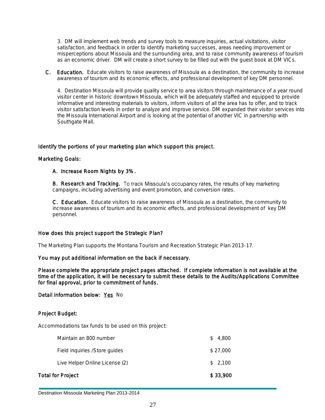3. DM will implement web trends and survey tools to measure inquiries, actual visitations, visitor satisfaction, and feedback in order to identify marketing successes, areas needing improvement or misperceptions about Missoula and the surrounding area, and to raise community awareness of tourism as an economic driver. DM will create a short survey to be filled out with the guest book at DM VICs.

C. Education. Educate visitors to raise awareness of Missoula as a destination, the community to increase awareness of tourism and its economic effects, and professional development of key DM personnel.

4. Destination Missoula will provide quality service to area visitors through maintenance of a year round visitor center in historic downtown Missoula, which will be adequately staffed and equipped to provide informative and interesting materials to visitors, inform visitors of all the area has to offer, and to track visitor satisfaction levels in order to analyze and improve service. DM expanded their visitor services into the Missoula International Airport and is looking at the potential of another VIC in partnership with Southgate Mall.

#### Identify the portions of your marketing plan which support this project.

#### Marketing Goals:

#### A. Increase Room Nights by 3%.

B. Research and Tracking. To track Missoula's occupancy rates, the results of key marketing campaigns, including advertising and event promotion, and conversion rates.

C. Education. Educate visitors to raise awareness of Missoula as a destination, the community to increase awareness of tourism and its economic effects, and professional development of key DM personnel.

#### How does this project support the Strategic Plan?

The Marketing Plan supports the Montana Tourism and Recreation Strategic Plan 2013-17.

#### You may put additional information on the back if necessary.

Please complete the appropriate project pages attached. If complete information is not available at the time of the application, it will be necessary to submit these details to the Audits/Applications Committee for final approval, prior to commitment of funds.

#### Detail information below: Yes No

#### Project Budget:

Accommodations tax funds to be used on this project:

| Total for Project |                                |    | \$33,900 |
|-------------------|--------------------------------|----|----------|
|                   | Live Helper Online License (2) |    | \$2.100  |
|                   | Field inquiries / Store guides |    | \$27,000 |
|                   | Maintain an 800 number         | S. | 4,800    |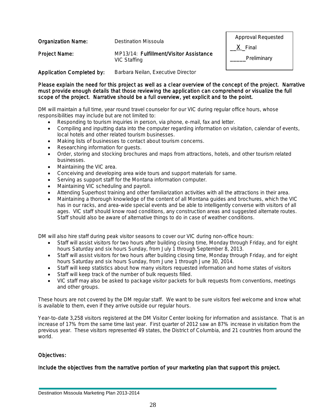| Organization Name:               | Destination Missoula                                    | <b>Approval Requested</b><br>X Final |  |  |
|----------------------------------|---------------------------------------------------------|--------------------------------------|--|--|
| Project Name:                    | MP13/14: Fulfillment/Visitor Assistance<br>VIC Staffing | Preliminary                          |  |  |
| <b>Application Completed by:</b> | Barbara Neilan, Executive Director                      |                                      |  |  |

Please explain the need for this project as well as a clear overview of the concept of the project. Narrative must provide enough details that those reviewing the application can comprehend or visualize the full scope of the project. Narrative should be a full overview, yet explicit and to the point.

DM will maintain a full time, year round travel counselor for our VIC during regular office hours, whose responsibilities may include but are not limited to:

- Responding to tourism inquiries in person, via phone, e-mail, fax and letter.
- Compiling and inputting data into the computer regarding information on visitation, calendar of events, local hotels and other related tourism businesses.
- Making lists of businesses to contact about tourism concerns.
- Researching information for quests.
- Order, storing and stocking brochures and maps from attractions, hotels, and other tourism related businesses.
- Maintaining the VIC area.
- Conceiving and developing area wide tours and support materials for same.
- Serving as support staff for the Montana information computer.
- Maintaining VIC scheduling and payroll.
- Attending Superhost training and other familiarization activities with all the attractions in their area.
- Maintaining a thorough knowledge of the content of all Montana guides and brochures, which the VIC has in our racks, and area-wide special events and be able to intelligently converse with visitors of all ages. VIC staff should know road conditions, any construction areas and suggested alternate routes. Staff should also be aware of alternative things to do in case of weather conditions.

DM will also hire staff during peak visitor seasons to cover our VIC during non-office hours:

- Staff will assist visitors for two hours after building closing time, Monday through Friday, and for eight hours Saturday and six hours Sunday, from July 1 through September 8, 2013.
- Staff will assist visitors for two hours after building closing time, Monday through Friday, and for eight hours Saturday and six hours Sunday, from June 1 through June 30, 2014.
- Staff will keep statistics about how many visitors requested information and home states of visitors
- Staff will keep track of the number of bulk requests filled.
- VIC staff may also be asked to package visitor packets for bulk requests from conventions, meetings and other groups.

These hours are not covered by the DM regular staff. We want to be sure visitors feel welcome and know what is available to them, even if they arrive outside our regular hours.

Year-to-date 3,258 visitors registered at the DM Visitor Center looking for information and assistance. That is an increase of 17% from the same time last year. First quarter of 2012 saw an 87% increase in visitation from the previous year. These visitors represented 49 states, the District of Columbia, and 21 countries from around the world.

#### Objectives:

Include the objectives from the narrative portion of your marketing plan that support this project.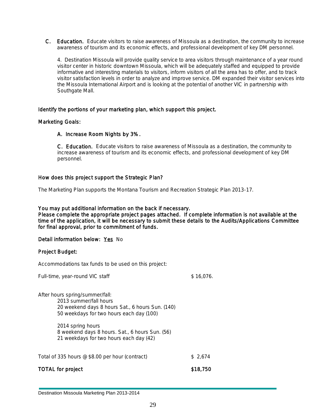C. Education. Educate visitors to raise awareness of Missoula as a destination, the community to increase awareness of tourism and its economic effects, and professional development of key DM personnel.

4. Destination Missoula will provide quality service to area visitors through maintenance of a year round visitor center in historic downtown Missoula, which will be adequately staffed and equipped to provide informative and interesting materials to visitors, inform visitors of all the area has to offer, and to track visitor satisfaction levels in order to analyze and improve service. DM expanded their visitor services into the Missoula International Airport and is looking at the potential of another VIC in partnership with Southgate Mall.

#### Identify the portions of your marketing plan, which support this project.

#### Marketing Goals:

#### A. Increase Room Nights by 3%.

C. Education. Educate visitors to raise awareness of Missoula as a destination, the community to increase awareness of tourism and its economic effects, and professional development of key DM personnel.

#### How does this project support the Strategic Plan?

The Marketing Plan supports the Montana Tourism and Recreation Strategic Plan 2013-17.

#### You may put additional information on the back if necessary.

Please complete the appropriate project pages attached. If complete information is not available at the time of the application, it will be necessary to submit these details to the Audits/Applications Committee for final approval, prior to commitment of funds.

#### Detail information below: Yes No

#### Project Budget:

Accommodations tax funds to be used on this project:

| Full-time, year-round VIC staff                                                                                                                           | \$16.076. |
|-----------------------------------------------------------------------------------------------------------------------------------------------------------|-----------|
| After hours spring/summer/fall:<br>2013 summer/fall hours<br>20 weekend days 8 hours Sat., 6 hours Sun. (140)<br>50 weekdays for two hours each day (100) |           |
| 2014 spring hours<br>8 weekend days 8 hours. Sat., 6 hours Sun. (56)<br>21 weekdays for two hours each day (42)                                           |           |
| Total of 335 hours @ \$8.00 per hour (contract)                                                                                                           | \$2,674   |
| <b>TOTAL for project</b>                                                                                                                                  | \$18,750  |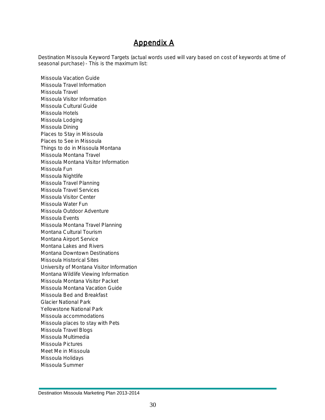## Appendix A

Destination Missoula Keyword Targets (actual words used will vary based on cost of keywords at time of seasonal purchase) - This is the maximum list:

Missoula Vacation Guide Missoula Travel Information Missoula Travel Missoula Visitor Information Missoula Cultural Guide Missoula Hotels Missoula Lodging Missoula Dining Places to Stay in Missoula Places to See in Missoula Things to do in Missoula Montana Missoula Montana Travel Missoula Montana Visitor Information Missoula Fun Missoula Nightlife Missoula Travel Planning Missoula Travel Services Missoula Visitor Center Missoula Water Fun Missoula Outdoor Adventure Missoula Events Missoula Montana Travel Planning Montana Cultural Tourism Montana Airport Service Montana Lakes and Rivers Montana Downtown Destinations Missoula Historical Sites University of Montana Visitor Information Montana Wildlife Viewing Information Missoula Montana Visitor Packet Missoula Montana Vacation Guide Missoula Bed and Breakfast Glacier National Park Yellowstone National Park Missoula accommodations Missoula places to stay with Pets Missoula Travel Blogs Missoula Multimedia Missoula Pictures Meet Me in Missoula Missoula Holidays Missoula Summer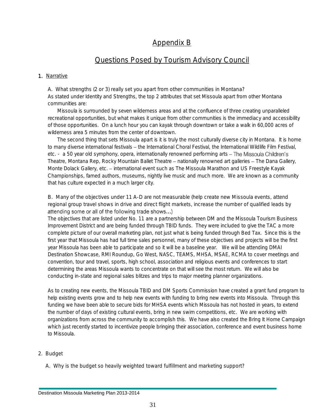## Appendix B

### Questions Posed by Tourism Advisory Council

#### 1. Narrative

A. What strengths (2 or 3) really set you apart from other communities in Montana? As stated under Identity and Strengths, the top 2 attributes that set Missoula apart from other Montana communities are:

Missoula is surrounded by seven wilderness areas and at the confluence of three creating unparalleled recreational opportunities, but what makes it unique from other communities is the immediacy and accessibility of those opportunities. On a lunch hour you can kayak through downtown or take a walk in 60,000 acres of wilderness area 5 minutes from the center of downtown.

The second thing that sets Missoula apart is it is truly the most culturally diverse city in Montana. It is home to many diverse international festivals - the International Choral Festival, the International Wildlife Film Festival, etc. - a 50 year old symphony, opera, internationally renowned performing arts - The Missoula Children's Theatre, Montana Rep, Rocky Mountain Ballet Theatre – nationally renowned art galleries – The Dana Gallery, Monte Dolack Gallery, etc. - international event such as The Missoula Marathon and US Freestyle Kayak Championships, famed authors, museums, nightly live music and much more. We are known as a community that has culture expected in a much larger city.

B. Many of the objectives under 11 A-D are not measurable (help create new Missoula events, attend regional group travel shows in drive and direct flight markets, increase the number of qualified leads by attending some or all of the following trade shows...)

The objectives that are listed under No. 11 are a partnership between DM and the Missoula Tourism Business Improvement District and are being funded through TBID funds. They were included to give the TAC a more complete picture of our overall marketing plan, not just what is being funded through Bed Tax. Since this is the first year that Missoula has had full time sales personnel, many of these objectives and projects will be the first year Missoula has been able to participate and so it will be a baseline year. We will be attending DMAI Destination Showcase, RMI Roundup, Go West, NASC, TEAMS, MHSA, MSAE, RCMA to cover meetings and convention, tour and travel, sports, high school, association and religious events and conferences to start determining the areas Missoula wants to concentrate on that will see the most return. We will also be conducting in-state and regional sales blitzes and trips to major meeting planner organizations.

As to creating new events, the Missoula TBID and DM Sports Commission have created a grant fund program to help existing events grow and to help new events with funding to bring new events into Missoula. Through this funding we have been able to secure bids for MHSA events which Missoula has not hosted in years, to extend the number of days of existing cultural events, bring in new swim competitions, etc. We are working with organizations from across the community to accomplish this. We have also created the Bring It Home Campaign which just recently started to incentivize people bringing their association, conference and event business home to Missoula.

#### 2. Budget

A. Why is the budget so heavily weighted toward fulfillment and marketing support?